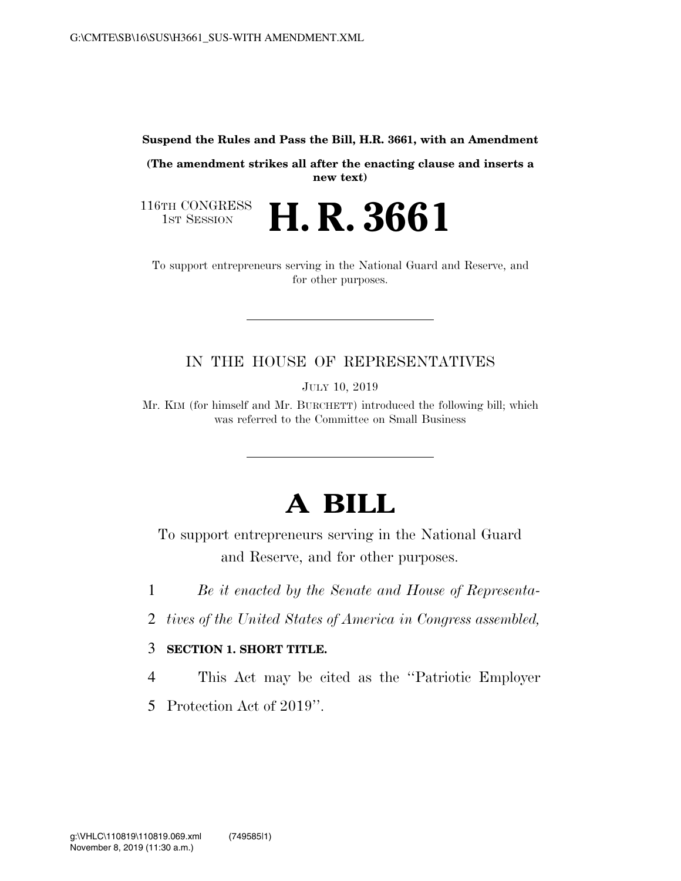**Suspend the Rules and Pass the Bill, H.R. 3661, with an Amendment** 

**(The amendment strikes all after the enacting clause and inserts a new text)** 

**H. R. 3661** 

116TH CONGRESS<br>1st Session

To support entrepreneurs serving in the National Guard and Reserve, and for other purposes.

## IN THE HOUSE OF REPRESENTATIVES

JULY 10, 2019

Mr. KIM (for himself and Mr. BURCHETT) introduced the following bill; which was referred to the Committee on Small Business

## **A BILL**

To support entrepreneurs serving in the National Guard and Reserve, and for other purposes.

1 *Be it enacted by the Senate and House of Representa-*

2 *tives of the United States of America in Congress assembled,* 

## 3 **SECTION 1. SHORT TITLE.**

4 This Act may be cited as the ''Patriotic Employer

5 Protection Act of 2019''.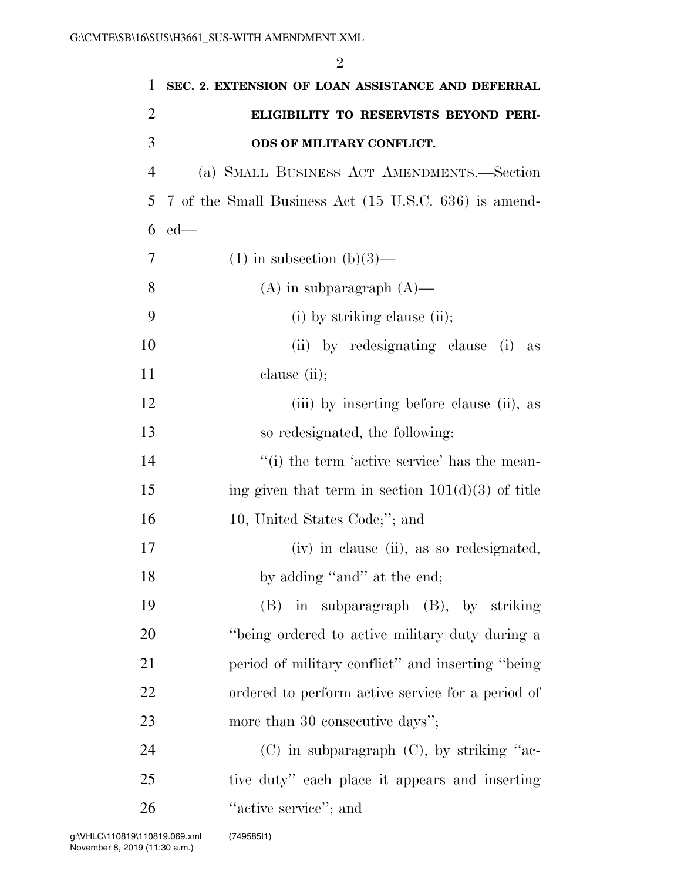| 1              | SEC. 2. EXTENSION OF LOAN ASSISTANCE AND DEFERRAL     |
|----------------|-------------------------------------------------------|
| $\overline{2}$ | ELIGIBILITY TO RESERVISTS BEYOND PERI-                |
| 3              | ODS OF MILITARY CONFLICT.                             |
| $\overline{4}$ | (a) SMALL BUSINESS ACT AMENDMENTS.-Section            |
| 5              | 7 of the Small Business Act (15 U.S.C. 636) is amend- |
| 6              | $ed$ —                                                |
| 7              | $(1)$ in subsection $(b)(3)$ —                        |
| 8              | $(A)$ in subparagraph $(A)$ —                         |
| 9              | (i) by striking clause (ii);                          |
| 10             | (ii) by redesignating clause (i)<br>$\rm as$          |
| 11             | clause (ii);                                          |
| 12             | (iii) by inserting before clause (ii), as             |
| 13             | so redesignated, the following:                       |
| 14             | "(i) the term 'active service' has the mean-          |
| 15             | ing given that term in section $101(d)(3)$ of title   |
| 16             | 10, United States Code;"; and                         |
| 17             | (iv) in clause (ii), as so redesignated,              |
| 18             | by adding "and" at the end;                           |
| 19             | $(B)$ in subparagraph $(B)$ , by striking             |
| 20             | "being ordered to active military duty during a       |
| 21             | period of military conflict" and inserting "being"    |
| 22             | ordered to perform active service for a period of     |
| 23             | more than 30 consecutive days";                       |
| 24             | $(C)$ in subparagraph $(C)$ , by striking "ac-        |
| 25             | tive duty" each place it appears and inserting        |
| 26             | "active service"; and                                 |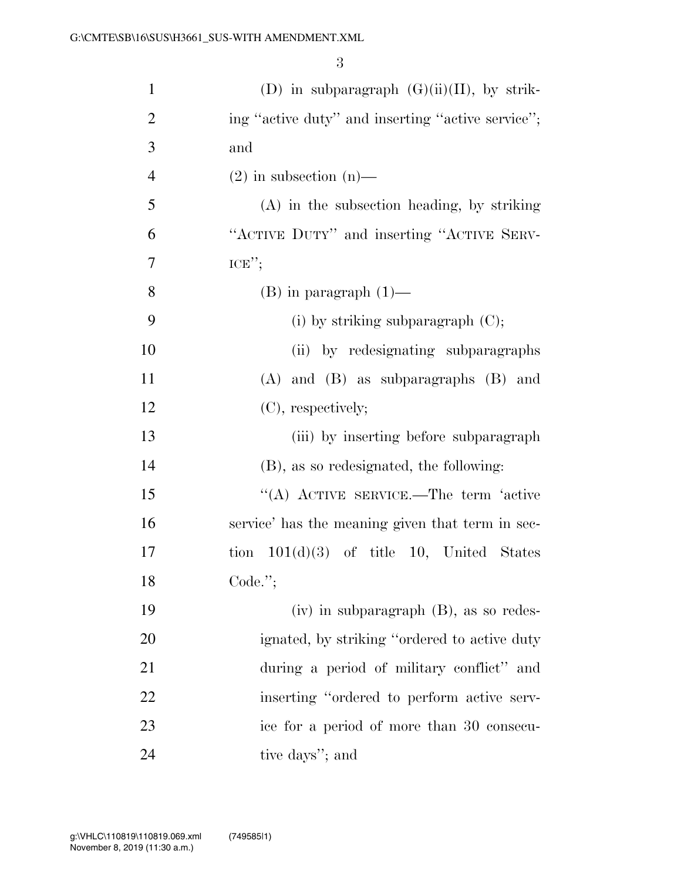| $\mathbf{1}$   | (D) in subparagraph $(G)(ii)(II)$ , by strik-     |
|----------------|---------------------------------------------------|
| $\overline{2}$ | ing "active duty" and inserting "active service"; |
| 3              | and                                               |
| $\overline{4}$ | $(2)$ in subsection $(n)$ —                       |
| 5              | $(A)$ in the subsection heading, by striking      |
| 6              | "ACTIVE DUTY" and inserting "ACTIVE SERV-         |
| 7              | $ICE$ ";                                          |
| 8              | $(B)$ in paragraph $(1)$ —                        |
| 9              | (i) by striking subparagraph $(C)$ ;              |
| 10             | (ii) by redesignating subparagraphs               |
| 11             | $(A)$ and $(B)$ as subparagraphs $(B)$ and        |
| 12             | (C), respectively;                                |
| 13             | (iii) by inserting before subparagraph            |
| 14             | (B), as so redesignated, the following:           |
| 15             | "(A) ACTIVE SERVICE.—The term 'active             |
| 16             | service' has the meaning given that term in sec-  |
| 17             | tion $101(d)(3)$ of title 10, United States       |
| 18             | Code.";                                           |
| 19             | $(iv)$ in subparagraph $(B)$ , as so redes-       |
| 20             | ignated, by striking "ordered to active duty"     |
| 21             | during a period of military conflict" and         |
| 22             | inserting "ordered to perform active serv-        |
| 23             | ice for a period of more than 30 consecu-         |
| 24             | tive days"; and                                   |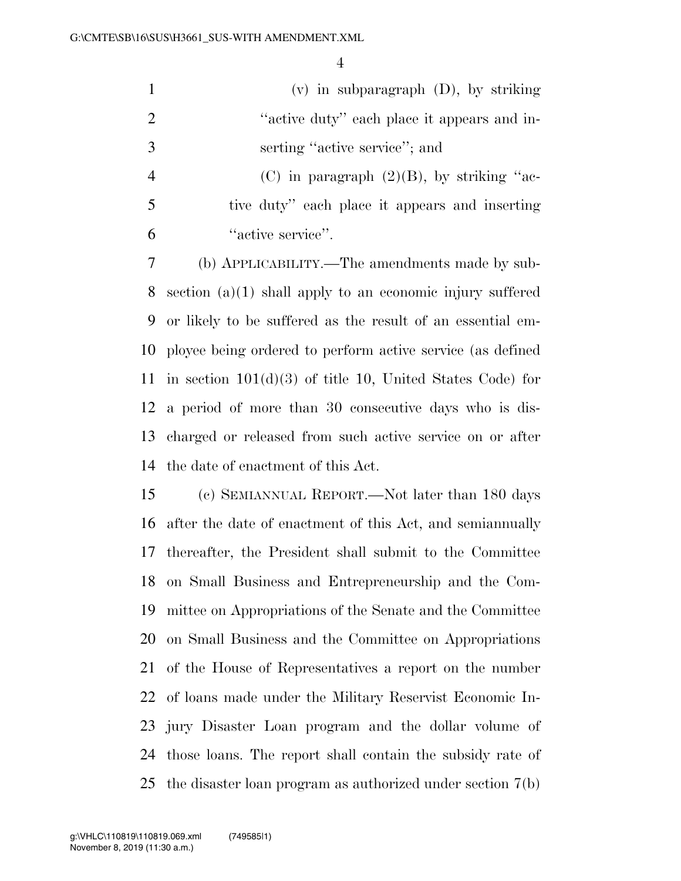|                          | $(v)$ in subparagraph $(D)$ , by striking      |
|--------------------------|------------------------------------------------|
| -2                       | "active duty" each place it appears and in-    |
| 3                        | serting "active service"; and                  |
|                          | (C) in paragraph $(2)(B)$ , by striking "ac-   |
| $\overline{\mathcal{L}}$ | tive duty" each place it appears and inserting |

''active service''.

 (b) APPLICABILITY.—The amendments made by sub- section (a)(1) shall apply to an economic injury suffered or likely to be suffered as the result of an essential em- ployee being ordered to perform active service (as defined in section 101(d)(3) of title 10, United States Code) for a period of more than 30 consecutive days who is dis- charged or released from such active service on or after the date of enactment of this Act.

 (c) SEMIANNUAL REPORT.—Not later than 180 days after the date of enactment of this Act, and semiannually thereafter, the President shall submit to the Committee on Small Business and Entrepreneurship and the Com- mittee on Appropriations of the Senate and the Committee on Small Business and the Committee on Appropriations of the House of Representatives a report on the number of loans made under the Military Reservist Economic In- jury Disaster Loan program and the dollar volume of those loans. The report shall contain the subsidy rate of the disaster loan program as authorized under section 7(b)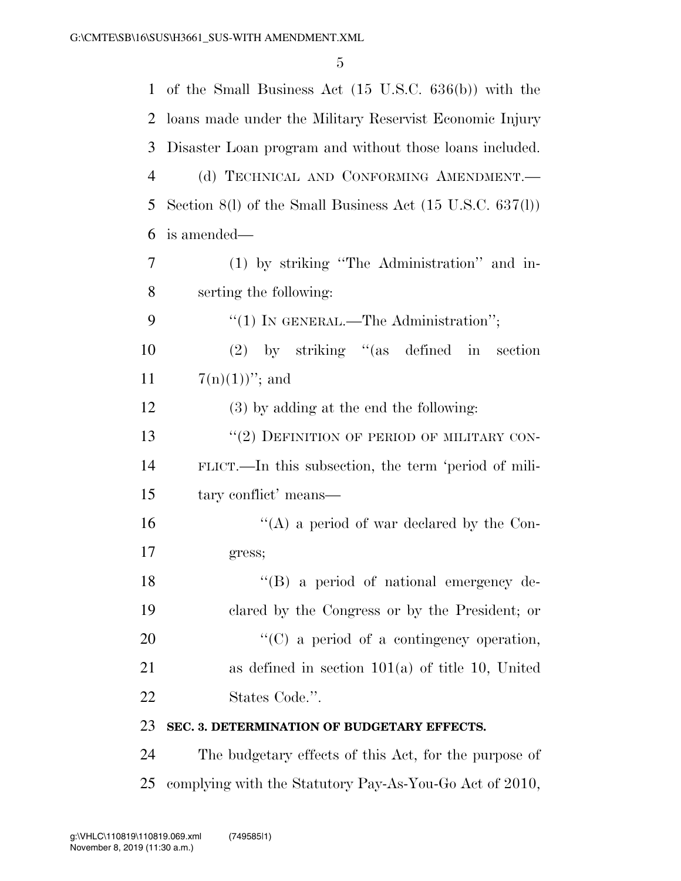| 1              | of the Small Business Act $(15 \text{ U.S.C. } 636(b))$ with the     |
|----------------|----------------------------------------------------------------------|
| 2              | loans made under the Military Reservist Economic Injury              |
| 3              | Disaster Loan program and without those loans included.              |
| $\overline{4}$ | (d) TECHNICAL AND CONFORMING AMENDMENT.                              |
| 5              | Section 8(1) of the Small Business Act $(15 \text{ U.S.C. } 637(1))$ |
| 6              | is amended—                                                          |
| 7              | (1) by striking "The Administration" and in-                         |
| 8              | serting the following:                                               |
| 9              | "(1) IN GENERAL.—The Administration";                                |
| 10             | $(2)$ by striking "(as defined in section                            |
| 11             | $7(n)(1))$ "; and                                                    |
| 12             | (3) by adding at the end the following:                              |
| 13             | "(2) DEFINITION OF PERIOD OF MILITARY CON-                           |
| 14             | FLICT.—In this subsection, the term 'period of mili-                 |
| 15             | tary conflict' means—                                                |
| 16             | "(A) a period of war declared by the Con-                            |
| 17             | gress;                                                               |
| 18             | $\lq\lq (B)$ a period of national emergency de-                      |
| 19             | clared by the Congress or by the President; or                       |
| 20             | $\lq\lq$ (C) a period of a contingency operation,                    |
| 21             | as defined in section $101(a)$ of title 10, United                   |
| 22             | States Code.".                                                       |
| 23             | SEC. 3. DETERMINATION OF BUDGETARY EFFECTS.                          |
| 24             | The budgetary effects of this Act, for the purpose of                |
| 25             | complying with the Statutory Pay-As-You-Go Act of 2010,              |